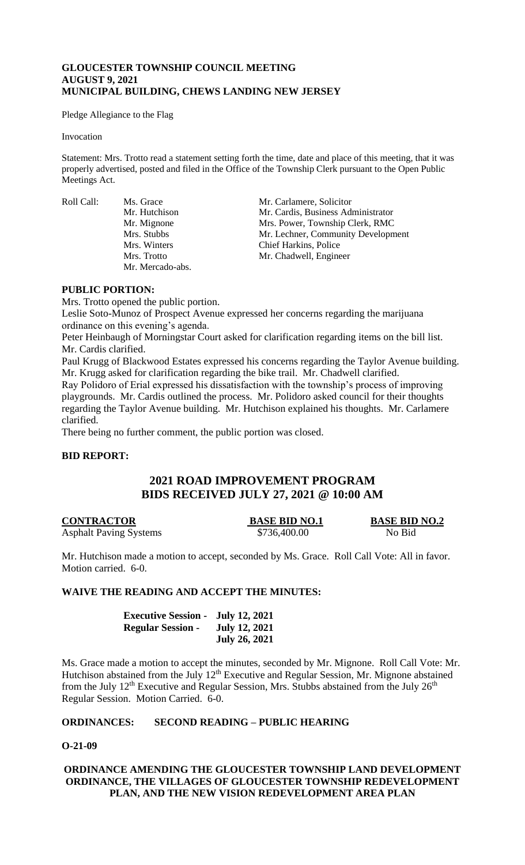## **GLOUCESTER TOWNSHIP COUNCIL MEETING AUGUST 9, 2021 MUNICIPAL BUILDING, CHEWS LANDING NEW JERSEY**

Pledge Allegiance to the Flag

#### Invocation

Statement: Mrs. Trotto read a statement setting forth the time, date and place of this meeting, that it was properly advertised, posted and filed in the Office of the Township Clerk pursuant to the Open Public Meetings Act.

Roll Call: Ms. Grace Mr. Carlamere, Solicitor Mr. Mercado-abs.

Mr. Hutchison Mr. Cardis, Business Administrator Mr. Mignone Mrs. Power, Township Clerk, RMC Mrs. Stubbs Mr. Lechner, Community Development Mrs. Winters Chief Harkins, Police<br>Mrs. Trotto Mr. Chadwell, Engine Mr. Chadwell, Engineer

## **PUBLIC PORTION:**

Mrs. Trotto opened the public portion.

Leslie Soto-Munoz of Prospect Avenue expressed her concerns regarding the marijuana ordinance on this evening's agenda.

Peter Heinbaugh of Morningstar Court asked for clarification regarding items on the bill list. Mr. Cardis clarified.

Paul Krugg of Blackwood Estates expressed his concerns regarding the Taylor Avenue building. Mr. Krugg asked for clarification regarding the bike trail. Mr. Chadwell clarified.

Ray Polidoro of Erial expressed his dissatisfaction with the township's process of improving playgrounds. Mr. Cardis outlined the process. Mr. Polidoro asked council for their thoughts regarding the Taylor Avenue building. Mr. Hutchison explained his thoughts. Mr. Carlamere clarified.

There being no further comment, the public portion was closed.

#### **BID REPORT:**

# **2021 ROAD IMPROVEMENT PROGRAM BIDS RECEIVED JULY 27, 2021 @ 10:00 AM**

**CONTRACTOR BASE BID NO.1 BASE BID NO.2** Asphalt Paving Systems  $$736,400.00$  No Bid

Mr. Hutchison made a motion to accept, seconded by Ms. Grace. Roll Call Vote: All in favor. Motion carried. 6-0.

## **WAIVE THE READING AND ACCEPT THE MINUTES:**

| <b>Executive Session - July 12, 2021</b> |                      |
|------------------------------------------|----------------------|
| <b>Regular Session -</b>                 | <b>July 12, 2021</b> |
|                                          | <b>July 26, 2021</b> |

Ms. Grace made a motion to accept the minutes, seconded by Mr. Mignone. Roll Call Vote: Mr. Hutchison abstained from the July  $12<sup>th</sup>$  Executive and Regular Session, Mr. Mignone abstained from the July  $12^{th}$  Executive and Regular Session, Mrs. Stubbs abstained from the July  $26^{th}$ Regular Session. Motion Carried. 6-0.

## **ORDINANCES: SECOND READING – PUBLIC HEARING**

#### **O-21-09**

## **ORDINANCE AMENDING THE GLOUCESTER TOWNSHIP LAND DEVELOPMENT ORDINANCE, THE VILLAGES OF GLOUCESTER TOWNSHIP REDEVELOPMENT PLAN, AND THE NEW VISION REDEVELOPMENT AREA PLAN**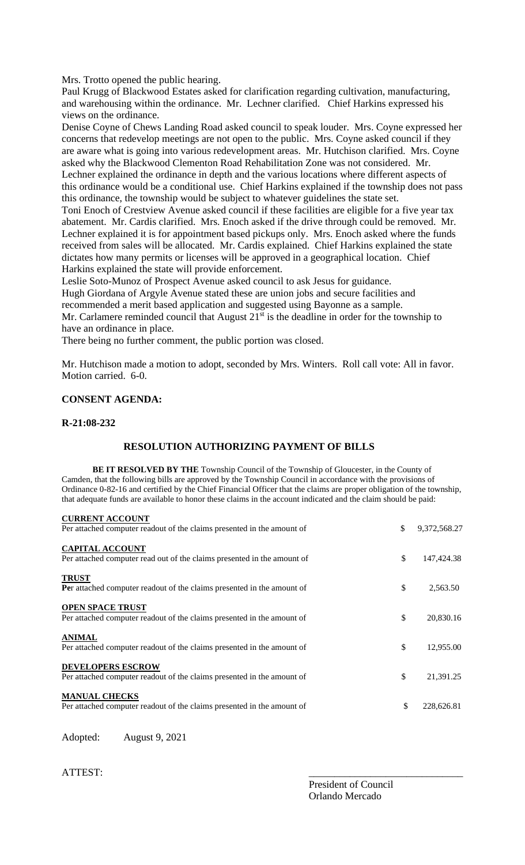Mrs. Trotto opened the public hearing.

Paul Krugg of Blackwood Estates asked for clarification regarding cultivation, manufacturing, and warehousing within the ordinance. Mr. Lechner clarified. Chief Harkins expressed his views on the ordinance.

Denise Coyne of Chews Landing Road asked council to speak louder. Mrs. Coyne expressed her concerns that redevelop meetings are not open to the public. Mrs. Coyne asked council if they are aware what is going into various redevelopment areas. Mr. Hutchison clarified. Mrs. Coyne asked why the Blackwood Clementon Road Rehabilitation Zone was not considered. Mr. Lechner explained the ordinance in depth and the various locations where different aspects of this ordinance would be a conditional use. Chief Harkins explained if the township does not pass this ordinance, the township would be subject to whatever guidelines the state set.

Toni Enoch of Crestview Avenue asked council if these facilities are eligible for a five year tax abatement. Mr. Cardis clarified. Mrs. Enoch asked if the drive through could be removed. Mr. Lechner explained it is for appointment based pickups only. Mrs. Enoch asked where the funds received from sales will be allocated. Mr. Cardis explained. Chief Harkins explained the state dictates how many permits or licenses will be approved in a geographical location. Chief Harkins explained the state will provide enforcement.

Leslie Soto-Munoz of Prospect Avenue asked council to ask Jesus for guidance.

Hugh Giordana of Argyle Avenue stated these are union jobs and secure facilities and

recommended a merit based application and suggested using Bayonne as a sample.

Mr. Carlamere reminded council that August  $21<sup>st</sup>$  is the deadline in order for the township to have an ordinance in place.

There being no further comment, the public portion was closed.

Mr. Hutchison made a motion to adopt, seconded by Mrs. Winters. Roll call vote: All in favor. Motion carried. 6-0.

# **CONSENT AGENDA:**

## **R-21:08-232**

# **RESOLUTION AUTHORIZING PAYMENT OF BILLS**

**BE IT RESOLVED BY THE** Township Council of the Township of Gloucester, in the County of Camden, that the following bills are approved by the Township Council in accordance with the provisions of Ordinance 0-82-16 and certified by the Chief Financial Officer that the claims are proper obligation of the township, that adequate funds are available to honor these claims in the account indicated and the claim should be paid:

| <b>CURRENT ACCOUNT</b> |  |
|------------------------|--|
|                        |  |

| Per attached computer readout of the claims presented in the amount of                             | \$<br>9,372,568.27 |
|----------------------------------------------------------------------------------------------------|--------------------|
| <b>CAPITAL ACCOUNT</b><br>Per attached computer read out of the claims presented in the amount of  | \$<br>147,424.38   |
| <b>TRUST</b><br>Per attached computer readout of the claims presented in the amount of             | \$<br>2,563.50     |
| <b>OPEN SPACE TRUST</b><br>Per attached computer readout of the claims presented in the amount of  | \$<br>20,830.16    |
| <b>ANIMAL</b><br>Per attached computer readout of the claims presented in the amount of            | \$<br>12,955.00    |
| <b>DEVELOPERS ESCROW</b><br>Per attached computer readout of the claims presented in the amount of | \$<br>21,391.25    |
| <b>MANUAL CHECKS</b><br>Per attached computer readout of the claims presented in the amount of     | \$<br>228,626.81   |

Adopted: August 9, 2021

ATTEST:

President of Council Orlando Mercado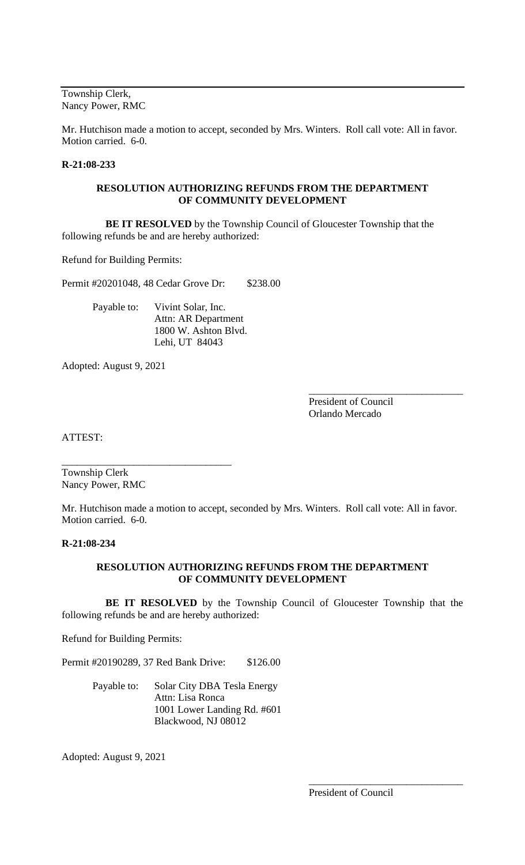Township Clerk, Nancy Power, RMC

Mr. Hutchison made a motion to accept, seconded by Mrs. Winters. Roll call vote: All in favor. Motion carried. 6-0.

## **R-21:08-233**

### **RESOLUTION AUTHORIZING REFUNDS FROM THE DEPARTMENT OF COMMUNITY DEVELOPMENT**

 **BE IT RESOLVED** by the Township Council of Gloucester Township that the following refunds be and are hereby authorized:

Refund for Building Permits:

Permit #20201048, 48 Cedar Grove Dr: \$238.00

Payable to: Vivint Solar, Inc. Attn: AR Department 1800 W. Ashton Blvd. Lehi, UT 84043

Adopted: August 9, 2021

President of Council Orlando Mercado

\_\_\_\_\_\_\_\_\_\_\_\_\_\_\_\_\_\_\_\_\_\_\_\_\_\_\_\_\_\_

ATTEST:

Township Clerk Nancy Power, RMC

\_\_\_\_\_\_\_\_\_\_\_\_\_\_\_\_\_\_\_\_\_\_\_\_\_\_\_\_\_\_\_\_\_

Mr. Hutchison made a motion to accept, seconded by Mrs. Winters. Roll call vote: All in favor. Motion carried. 6-0.

## **R-21:08-234**

## **RESOLUTION AUTHORIZING REFUNDS FROM THE DEPARTMENT OF COMMUNITY DEVELOPMENT**

 **BE IT RESOLVED** by the Township Council of Gloucester Township that the following refunds be and are hereby authorized:

Refund for Building Permits:

Permit #20190289, 37 Red Bank Drive: \$126.00

Payable to: Solar City DBA Tesla Energy Attn: Lisa Ronca 1001 Lower Landing Rd. #601 Blackwood, NJ 08012

Adopted: August 9, 2021

\_\_\_\_\_\_\_\_\_\_\_\_\_\_\_\_\_\_\_\_\_\_\_\_\_\_\_\_\_\_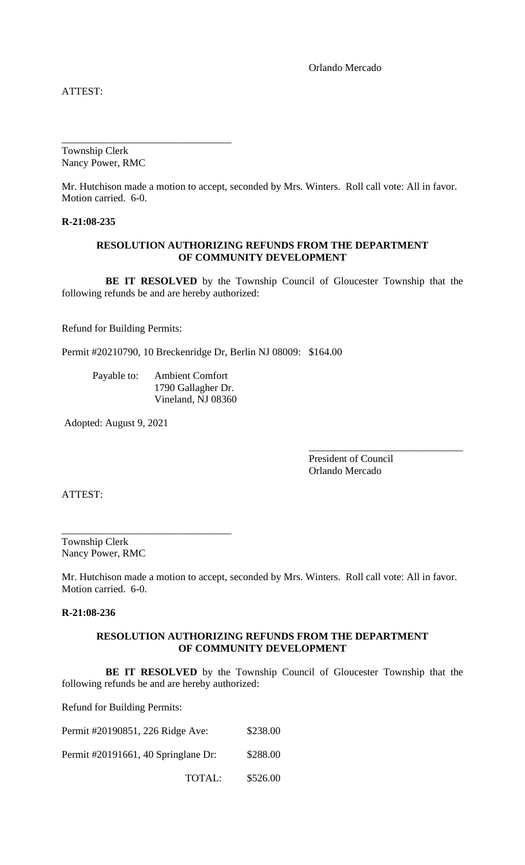Orlando Mercado

ATTEST:

Township Clerk Nancy Power, RMC

\_\_\_\_\_\_\_\_\_\_\_\_\_\_\_\_\_\_\_\_\_\_\_\_\_\_\_\_\_\_\_\_\_

Mr. Hutchison made a motion to accept, seconded by Mrs. Winters. Roll call vote: All in favor. Motion carried. 6-0.

**R-21:08-235**

#### **RESOLUTION AUTHORIZING REFUNDS FROM THE DEPARTMENT OF COMMUNITY DEVELOPMENT**

 **BE IT RESOLVED** by the Township Council of Gloucester Township that the following refunds be and are hereby authorized:

Refund for Building Permits:

Permit #20210790, 10 Breckenridge Dr, Berlin NJ 08009: \$164.00

Payable to: Ambient Comfort 1790 Gallagher Dr. Vineland, NJ 08360

Adopted: August 9, 2021

President of Council Orlando Mercado

\_\_\_\_\_\_\_\_\_\_\_\_\_\_\_\_\_\_\_\_\_\_\_\_\_\_\_\_\_\_

ATTEST:

Township Clerk Nancy Power, RMC

\_\_\_\_\_\_\_\_\_\_\_\_\_\_\_\_\_\_\_\_\_\_\_\_\_\_\_\_\_\_\_\_\_

Mr. Hutchison made a motion to accept, seconded by Mrs. Winters. Roll call vote: All in favor. Motion carried. 6-0.

**R-21:08-236**

## **RESOLUTION AUTHORIZING REFUNDS FROM THE DEPARTMENT OF COMMUNITY DEVELOPMENT**

 **BE IT RESOLVED** by the Township Council of Gloucester Township that the following refunds be and are hereby authorized:

Refund for Building Permits:

Permit #20190851, 226 Ridge Ave: \$238.00 Permit #20191661, 40 Springlane Dr: \$288.00 TOTAL: \$526.00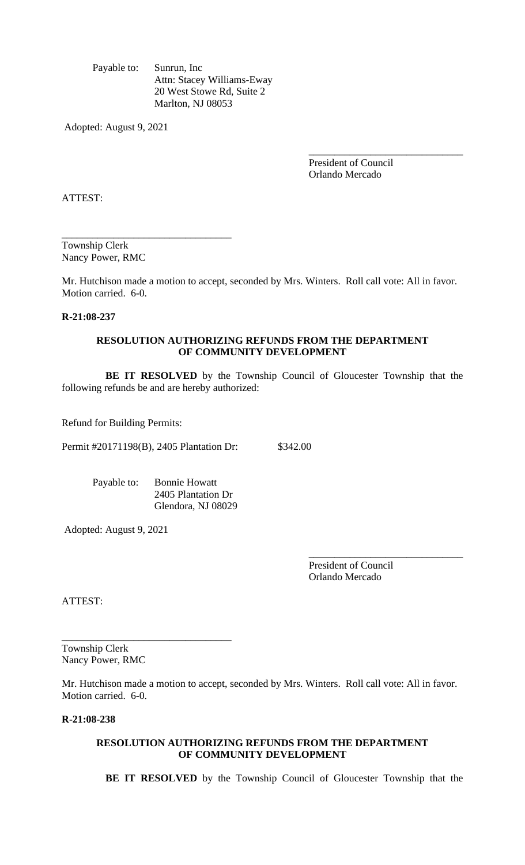Payable to: Sunrun, Inc Attn: Stacey Williams-Eway 20 West Stowe Rd, Suite 2 Marlton, NJ 08053

Adopted: August 9, 2021

President of Council Orlando Mercado

\_\_\_\_\_\_\_\_\_\_\_\_\_\_\_\_\_\_\_\_\_\_\_\_\_\_\_\_\_\_

ATTEST:

Township Clerk Nancy Power, RMC

\_\_\_\_\_\_\_\_\_\_\_\_\_\_\_\_\_\_\_\_\_\_\_\_\_\_\_\_\_\_\_\_\_

Mr. Hutchison made a motion to accept, seconded by Mrs. Winters. Roll call vote: All in favor. Motion carried. 6-0.

### **R-21:08-237**

### **RESOLUTION AUTHORIZING REFUNDS FROM THE DEPARTMENT OF COMMUNITY DEVELOPMENT**

 **BE IT RESOLVED** by the Township Council of Gloucester Township that the following refunds be and are hereby authorized:

Refund for Building Permits:

Permit #20171198(B), 2405 Plantation Dr: \$342.00

Payable to: Bonnie Howatt 2405 Plantation Dr Glendora, NJ 08029

Adopted: August 9, 2021

President of Council Orlando Mercado

\_\_\_\_\_\_\_\_\_\_\_\_\_\_\_\_\_\_\_\_\_\_\_\_\_\_\_\_\_\_

ATTEST:

Township Clerk Nancy Power, RMC

\_\_\_\_\_\_\_\_\_\_\_\_\_\_\_\_\_\_\_\_\_\_\_\_\_\_\_\_\_\_\_\_\_

Mr. Hutchison made a motion to accept, seconded by Mrs. Winters. Roll call vote: All in favor. Motion carried. 6-0.

## **R-21:08-238**

#### **RESOLUTION AUTHORIZING REFUNDS FROM THE DEPARTMENT OF COMMUNITY DEVELOPMENT**

 **BE IT RESOLVED** by the Township Council of Gloucester Township that the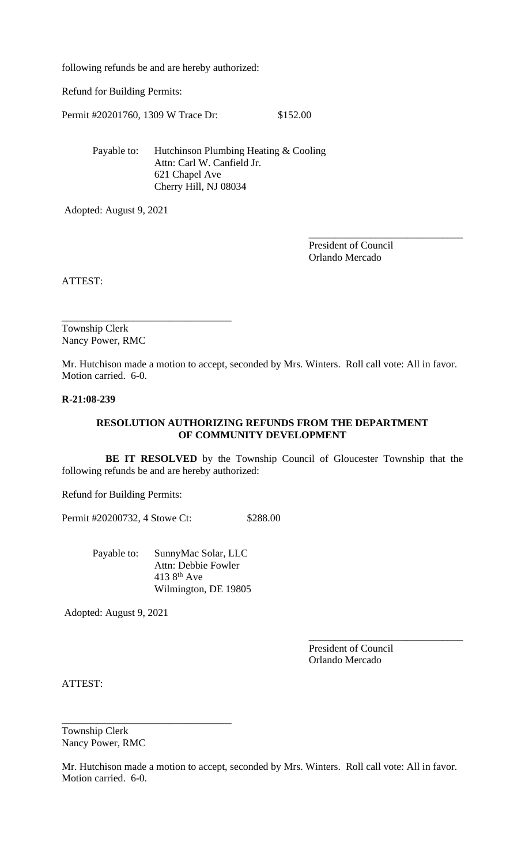following refunds be and are hereby authorized:

Refund for Building Permits:

Permit #20201760, 1309 W Trace Dr: \$152.00

Payable to: Hutchinson Plumbing Heating & Cooling Attn: Carl W. Canfield Jr. 621 Chapel Ave Cherry Hill, NJ 08034

Adopted: August 9, 2021

President of Council Orlando Mercado

\_\_\_\_\_\_\_\_\_\_\_\_\_\_\_\_\_\_\_\_\_\_\_\_\_\_\_\_\_\_

ATTEST:

Township Clerk Nancy Power, RMC

\_\_\_\_\_\_\_\_\_\_\_\_\_\_\_\_\_\_\_\_\_\_\_\_\_\_\_\_\_\_\_\_\_

Mr. Hutchison made a motion to accept, seconded by Mrs. Winters. Roll call vote: All in favor. Motion carried. 6-0.

## **R-21:08-239**

### **RESOLUTION AUTHORIZING REFUNDS FROM THE DEPARTMENT OF COMMUNITY DEVELOPMENT**

 **BE IT RESOLVED** by the Township Council of Gloucester Township that the following refunds be and are hereby authorized:

Refund for Building Permits:

Permit #20200732, 4 Stowe Ct: \$288.00

Payable to: SunnyMac Solar, LLC Attn: Debbie Fowler 413  $8<sup>th</sup>$  Ave Wilmington, DE 19805

Adopted: August 9, 2021

President of Council Orlando Mercado

\_\_\_\_\_\_\_\_\_\_\_\_\_\_\_\_\_\_\_\_\_\_\_\_\_\_\_\_\_\_

ATTEST:

Township Clerk Nancy Power, RMC

\_\_\_\_\_\_\_\_\_\_\_\_\_\_\_\_\_\_\_\_\_\_\_\_\_\_\_\_\_\_\_\_\_

Mr. Hutchison made a motion to accept, seconded by Mrs. Winters. Roll call vote: All in favor. Motion carried. 6-0.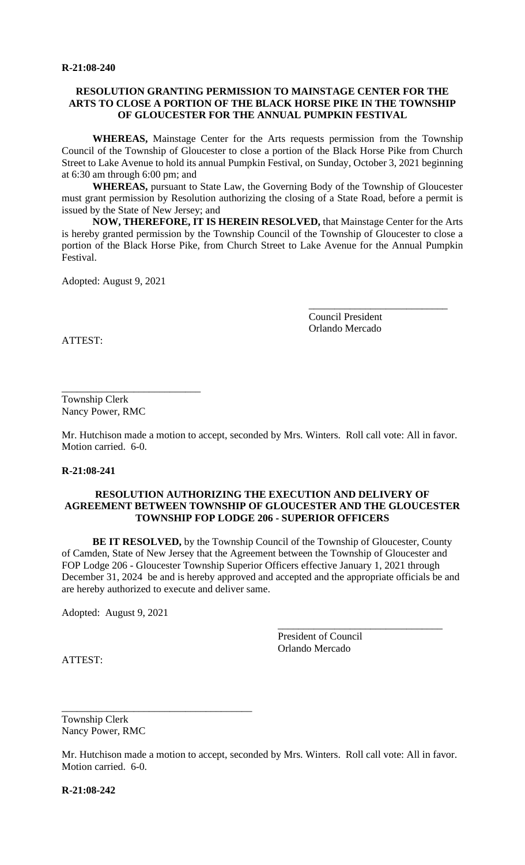### **RESOLUTION GRANTING PERMISSION TO MAINSTAGE CENTER FOR THE ARTS TO CLOSE A PORTION OF THE BLACK HORSE PIKE IN THE TOWNSHIP OF GLOUCESTER FOR THE ANNUAL PUMPKIN FESTIVAL**

**WHEREAS,** Mainstage Center for the Arts requests permission from the Township Council of the Township of Gloucester to close a portion of the Black Horse Pike from Church Street to Lake Avenue to hold its annual Pumpkin Festival, on Sunday, October 3, 2021 beginning at 6:30 am through 6:00 pm; and

**WHEREAS,** pursuant to State Law, the Governing Body of the Township of Gloucester must grant permission by Resolution authorizing the closing of a State Road, before a permit is issued by the State of New Jersey; and

**NOW, THEREFORE, IT IS HEREIN RESOLVED,** that Mainstage Center for the Arts is hereby granted permission by the Township Council of the Township of Gloucester to close a portion of the Black Horse Pike, from Church Street to Lake Avenue for the Annual Pumpkin Festival.

Adopted: August 9, 2021

Council President Orlando Mercado

\_\_\_\_\_\_\_\_\_\_\_\_\_\_\_\_\_\_\_\_\_\_\_\_\_\_\_

ATTEST:

Township Clerk Nancy Power, RMC

\_\_\_\_\_\_\_\_\_\_\_\_\_\_\_\_\_\_\_\_\_\_\_\_\_\_\_

Mr. Hutchison made a motion to accept, seconded by Mrs. Winters. Roll call vote: All in favor. Motion carried. 6-0.

**R-21:08-241**

### **RESOLUTION AUTHORIZING THE EXECUTION AND DELIVERY OF AGREEMENT BETWEEN TOWNSHIP OF GLOUCESTER AND THE GLOUCESTER TOWNSHIP FOP LODGE 206 - SUPERIOR OFFICERS**

**BE IT RESOLVED,** by the Township Council of the Township of Gloucester, County of Camden, State of New Jersey that the Agreement between the Township of Gloucester and FOP Lodge 206 - Gloucester Township Superior Officers effective January 1, 2021 through December 31, 2024 be and is hereby approved and accepted and the appropriate officials be and are hereby authorized to execute and deliver same.

Adopted: August 9, 2021

President of Council Orlando Mercado

\_\_\_\_\_\_\_\_\_\_\_\_\_\_\_\_\_\_\_\_\_\_\_\_\_\_\_\_\_\_\_\_

ATTEST:

Township Clerk Nancy Power, RMC

\_\_\_\_\_\_\_\_\_\_\_\_\_\_\_\_\_\_\_\_\_\_\_\_\_\_\_\_\_\_\_\_\_\_\_\_\_

Mr. Hutchison made a motion to accept, seconded by Mrs. Winters. Roll call vote: All in favor. Motion carried. 6-0.

**R-21:08-242**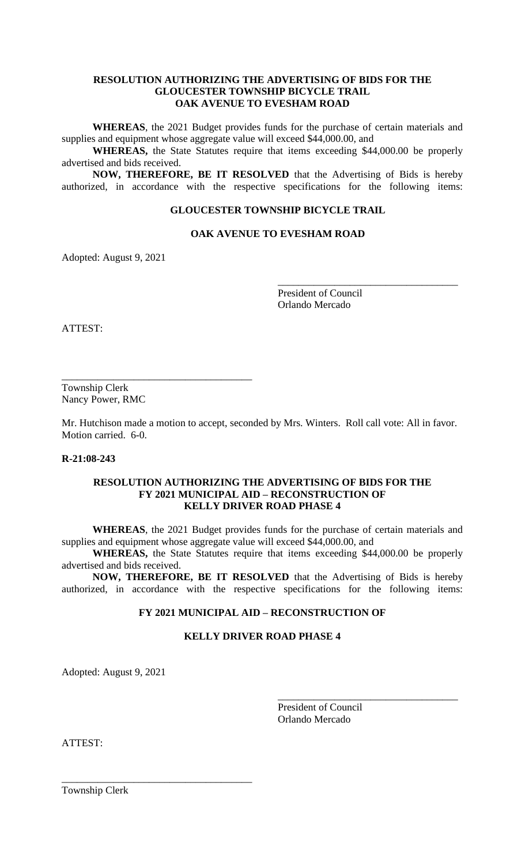### **RESOLUTION AUTHORIZING THE ADVERTISING OF BIDS FOR THE GLOUCESTER TOWNSHIP BICYCLE TRAIL OAK AVENUE TO EVESHAM ROAD**

**WHEREAS**, the 2021 Budget provides funds for the purchase of certain materials and supplies and equipment whose aggregate value will exceed \$44,000.00, and

**WHEREAS,** the State Statutes require that items exceeding \$44,000.00 be properly advertised and bids received.

**NOW, THEREFORE, BE IT RESOLVED** that the Advertising of Bids is hereby authorized, in accordance with the respective specifications for the following items:

## **GLOUCESTER TOWNSHIP BICYCLE TRAIL**

## **OAK AVENUE TO EVESHAM ROAD**

Adopted: August 9, 2021

President of Council Orlando Mercado

\_\_\_\_\_\_\_\_\_\_\_\_\_\_\_\_\_\_\_\_\_\_\_\_\_\_\_\_\_\_\_\_\_\_\_

ATTEST:

Township Clerk Nancy Power, RMC

\_\_\_\_\_\_\_\_\_\_\_\_\_\_\_\_\_\_\_\_\_\_\_\_\_\_\_\_\_\_\_\_\_\_\_\_\_

Mr. Hutchison made a motion to accept, seconded by Mrs. Winters. Roll call vote: All in favor. Motion carried. 6-0.

## **R-21:08-243**

### **RESOLUTION AUTHORIZING THE ADVERTISING OF BIDS FOR THE FY 2021 MUNICIPAL AID – RECONSTRUCTION OF KELLY DRIVER ROAD PHASE 4**

**WHEREAS**, the 2021 Budget provides funds for the purchase of certain materials and supplies and equipment whose aggregate value will exceed \$44,000.00, and

**WHEREAS,** the State Statutes require that items exceeding \$44,000.00 be properly advertised and bids received.

**NOW, THEREFORE, BE IT RESOLVED** that the Advertising of Bids is hereby authorized, in accordance with the respective specifications for the following items:

## **FY 2021 MUNICIPAL AID – RECONSTRUCTION OF**

## **KELLY DRIVER ROAD PHASE 4**

Adopted: August 9, 2021

\_\_\_\_\_\_\_\_\_\_\_\_\_\_\_\_\_\_\_\_\_\_\_\_\_\_\_\_\_\_\_\_\_\_\_\_\_

President of Council Orlando Mercado

\_\_\_\_\_\_\_\_\_\_\_\_\_\_\_\_\_\_\_\_\_\_\_\_\_\_\_\_\_\_\_\_\_\_\_

ATTEST:

Township Clerk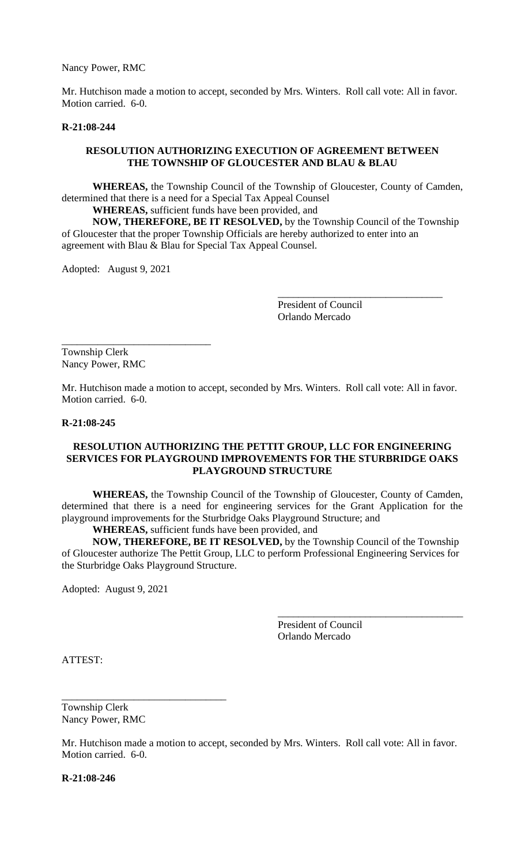Nancy Power, RMC

Mr. Hutchison made a motion to accept, seconded by Mrs. Winters. Roll call vote: All in favor. Motion carried. 6-0.

#### **R-21:08-244**

#### **RESOLUTION AUTHORIZING EXECUTION OF AGREEMENT BETWEEN THE TOWNSHIP OF GLOUCESTER AND BLAU & BLAU**

**WHEREAS,** the Township Council of the Township of Gloucester, County of Camden, determined that there is a need for a Special Tax Appeal Counsel

**WHEREAS,** sufficient funds have been provided, and

**NOW, THEREFORE, BE IT RESOLVED,** by the Township Council of the Township of Gloucester that the proper Township Officials are hereby authorized to enter into an agreement with Blau & Blau for Special Tax Appeal Counsel.

Adopted: August 9, 2021

\_\_\_\_\_\_\_\_\_\_\_\_\_\_\_\_\_\_\_\_\_\_\_\_\_\_\_\_\_

President of Council Orlando Mercado

\_\_\_\_\_\_\_\_\_\_\_\_\_\_\_\_\_\_\_\_\_\_\_\_\_\_\_\_\_\_\_\_

Township Clerk Nancy Power, RMC

Mr. Hutchison made a motion to accept, seconded by Mrs. Winters. Roll call vote: All in favor. Motion carried. 6-0.

#### **R-21:08-245**

#### **RESOLUTION AUTHORIZING THE PETTIT GROUP, LLC FOR ENGINEERING SERVICES FOR PLAYGROUND IMPROVEMENTS FOR THE STURBRIDGE OAKS PLAYGROUND STRUCTURE**

**WHEREAS,** the Township Council of the Township of Gloucester, County of Camden, determined that there is a need for engineering services for the Grant Application for the playground improvements for the Sturbridge Oaks Playground Structure; and

**WHEREAS,** sufficient funds have been provided, and

**NOW, THEREFORE, BE IT RESOLVED,** by the Township Council of the Township of Gloucester authorize The Pettit Group, LLC to perform Professional Engineering Services for the Sturbridge Oaks Playground Structure.

Adopted: August 9, 2021

 President of Council Orlando Mercado

\_\_\_\_\_\_\_\_\_\_\_\_\_\_\_\_\_\_\_\_\_\_\_\_\_\_\_\_\_\_\_\_\_\_\_\_

ATTEST:

Township Clerk Nancy Power, RMC

\_\_\_\_\_\_\_\_\_\_\_\_\_\_\_\_\_\_\_\_\_\_\_\_\_\_\_\_\_\_\_\_

Mr. Hutchison made a motion to accept, seconded by Mrs. Winters. Roll call vote: All in favor. Motion carried. 6-0.

**R-21:08-246**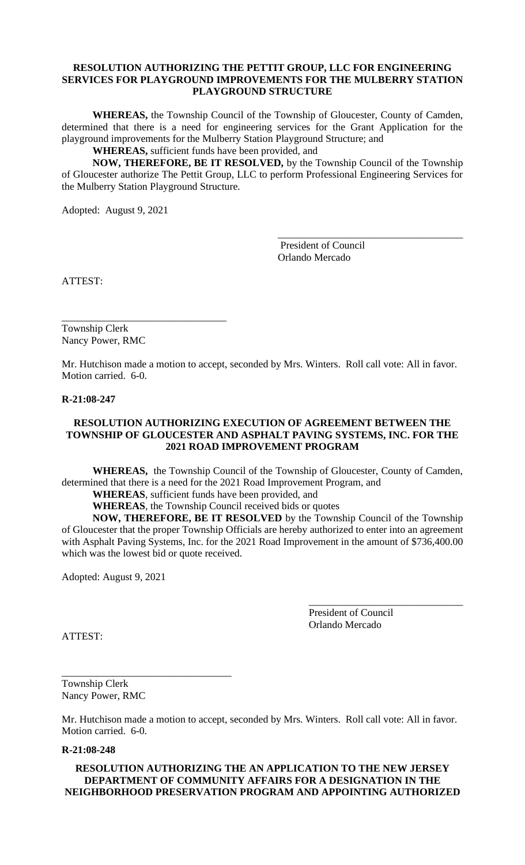## **RESOLUTION AUTHORIZING THE PETTIT GROUP, LLC FOR ENGINEERING SERVICES FOR PLAYGROUND IMPROVEMENTS FOR THE MULBERRY STATION PLAYGROUND STRUCTURE**

**WHEREAS,** the Township Council of the Township of Gloucester, County of Camden, determined that there is a need for engineering services for the Grant Application for the playground improvements for the Mulberry Station Playground Structure; and

**WHEREAS,** sufficient funds have been provided, and

**NOW, THEREFORE, BE IT RESOLVED,** by the Township Council of the Township of Gloucester authorize The Pettit Group, LLC to perform Professional Engineering Services for the Mulberry Station Playground Structure.

Adopted: August 9, 2021

 President of Council Orlando Mercado

\_\_\_\_\_\_\_\_\_\_\_\_\_\_\_\_\_\_\_\_\_\_\_\_\_\_\_\_\_\_\_\_\_\_\_\_

ATTEST:

Township Clerk Nancy Power, RMC

\_\_\_\_\_\_\_\_\_\_\_\_\_\_\_\_\_\_\_\_\_\_\_\_\_\_\_\_\_\_\_\_

Mr. Hutchison made a motion to accept, seconded by Mrs. Winters. Roll call vote: All in favor. Motion carried. 6-0.

#### **R-21:08-247**

### **RESOLUTION AUTHORIZING EXECUTION OF AGREEMENT BETWEEN THE TOWNSHIP OF GLOUCESTER AND ASPHALT PAVING SYSTEMS, INC. FOR THE 2021 ROAD IMPROVEMENT PROGRAM**

**WHEREAS,** the Township Council of the Township of Gloucester, County of Camden, determined that there is a need for the 2021 Road Improvement Program, and

**WHEREAS**, sufficient funds have been provided, and

**WHEREAS**, the Township Council received bids or quotes

**NOW, THEREFORE, BE IT RESOLVED** by the Township Council of the Township of Gloucester that the proper Township Officials are hereby authorized to enter into an agreement with Asphalt Paving Systems, Inc. for the 2021 Road Improvement in the amount of \$736,400.00 which was the lowest bid or quote received.

Adopted: August 9, 2021

President of Council Orlando Mercado

\_\_\_\_\_\_\_\_\_\_\_\_\_\_\_\_\_\_\_\_\_\_\_\_\_\_\_\_\_\_

ATTEST:

Township Clerk Nancy Power, RMC

\_\_\_\_\_\_\_\_\_\_\_\_\_\_\_\_\_\_\_\_\_\_\_\_\_\_\_\_\_\_\_\_\_

Mr. Hutchison made a motion to accept, seconded by Mrs. Winters. Roll call vote: All in favor. Motion carried. 6-0.

#### **R-21:08-248**

### **RESOLUTION AUTHORIZING THE AN APPLICATION TO THE NEW JERSEY DEPARTMENT OF COMMUNITY AFFAIRS FOR A DESIGNATION IN THE NEIGHBORHOOD PRESERVATION PROGRAM AND APPOINTING AUTHORIZED**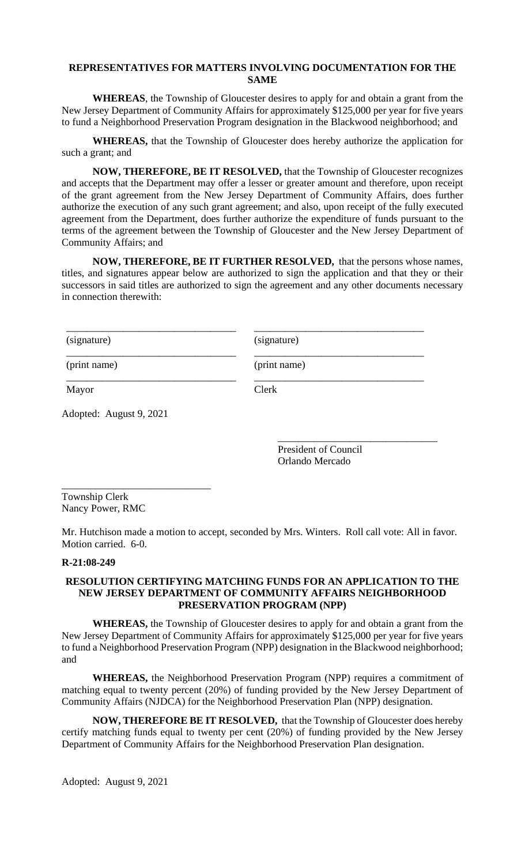## **REPRESENTATIVES FOR MATTERS INVOLVING DOCUMENTATION FOR THE SAME**

**WHEREAS**, the Township of Gloucester desires to apply for and obtain a grant from the New Jersey Department of Community Affairs for approximately \$125,000 per year for five years to fund a Neighborhood Preservation Program designation in the Blackwood neighborhood; and

**WHEREAS,** that the Township of Gloucester does hereby authorize the application for such a grant; and

**NOW, THEREFORE, BE IT RESOLVED,** that the Township of Gloucester recognizes and accepts that the Department may offer a lesser or greater amount and therefore, upon receipt of the grant agreement from the New Jersey Department of Community Affairs, does further authorize the execution of any such grant agreement; and also, upon receipt of the fully executed agreement from the Department, does further authorize the expenditure of funds pursuant to the terms of the agreement between the Township of Gloucester and the New Jersey Department of Community Affairs; and

**NOW, THEREFORE, BE IT FURTHER RESOLVED,** that the persons whose names, titles, and signatures appear below are authorized to sign the application and that they or their successors in said titles are authorized to sign the agreement and any other documents necessary in connection therewith:

\_\_\_\_\_\_\_\_\_\_\_\_\_\_\_\_\_\_\_\_\_\_\_\_\_\_\_\_\_\_\_\_\_ \_\_\_\_\_\_\_\_\_\_\_\_\_\_\_\_\_\_\_\_\_\_\_\_\_\_\_\_\_\_\_\_\_

\_\_\_\_\_\_\_\_\_\_\_\_\_\_\_\_\_\_\_\_\_\_\_\_\_\_\_\_\_\_\_\_\_ \_\_\_\_\_\_\_\_\_\_\_\_\_\_\_\_\_\_\_\_\_\_\_\_\_\_\_\_\_\_\_\_\_

(signature) (signature)

(print name) (print name)

\_\_\_\_\_\_\_\_\_\_\_\_\_\_\_\_\_\_\_\_\_\_\_\_\_\_\_\_\_\_\_\_\_ \_\_\_\_\_\_\_\_\_\_\_\_\_\_\_\_\_\_\_\_\_\_\_\_\_\_\_\_\_\_\_\_\_

Mayor Clerk

Adopted: August 9, 2021

\_\_\_\_\_\_\_\_\_\_\_\_\_\_\_\_\_\_\_\_\_\_\_\_\_\_\_\_\_

President of Council Orlando Mercado

\_\_\_\_\_\_\_\_\_\_\_\_\_\_\_\_\_\_\_\_\_\_\_\_\_\_\_\_\_\_\_

Township Clerk Nancy Power, RMC

Mr. Hutchison made a motion to accept, seconded by Mrs. Winters. Roll call vote: All in favor. Motion carried. 6-0.

## **R-21:08-249**

## **RESOLUTION CERTIFYING MATCHING FUNDS FOR AN APPLICATION TO THE NEW JERSEY DEPARTMENT OF COMMUNITY AFFAIRS NEIGHBORHOOD PRESERVATION PROGRAM (NPP)**

**WHEREAS,** the Township of Gloucester desires to apply for and obtain a grant from the New Jersey Department of Community Affairs for approximately \$125,000 per year for five years to fund a Neighborhood Preservation Program (NPP) designation in the Blackwood neighborhood; and

**WHEREAS,** the Neighborhood Preservation Program (NPP) requires a commitment of matching equal to twenty percent (20%) of funding provided by the New Jersey Department of Community Affairs (NJDCA) for the Neighborhood Preservation Plan (NPP) designation.

**NOW, THEREFORE BE IT RESOLVED,** that the Township of Gloucester does hereby certify matching funds equal to twenty per cent (20%) of funding provided by the New Jersey Department of Community Affairs for the Neighborhood Preservation Plan designation.

Adopted: August 9, 2021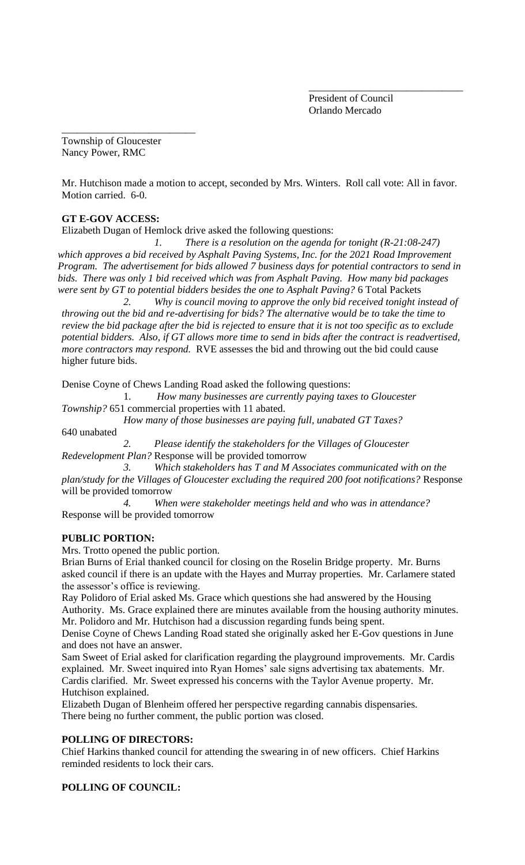President of Council Orlando Mercado

\_\_\_\_\_\_\_\_\_\_\_\_\_\_\_\_\_\_\_\_\_\_\_\_\_\_\_\_\_\_

Township of Gloucester Nancy Power, RMC

\_\_\_\_\_\_\_\_\_\_\_\_\_\_\_\_\_\_\_\_\_\_\_\_\_\_

Mr. Hutchison made a motion to accept, seconded by Mrs. Winters. Roll call vote: All in favor. Motion carried. 6-0.

## **GT E-GOV ACCESS:**

Elizabeth Dugan of Hemlock drive asked the following questions:

*1. There is a resolution on the agenda for tonight (R-21:08-247)*  which approves a bid received by Asphalt Paving Systems, Inc. for the 2021 Road Improvement *Program. The advertisement for bids allowed 7 business days for potential contractors to send in bids. There was only 1 bid received which was from Asphalt Paving. How many bid packages were sent by GT to potential bidders besides the one to Asphalt Paving?* 6 Total Packets

*2. Why is council moving to approve the only bid received tonight instead of throwing out the bid and re-advertising for bids? The alternative would be to take the time to review the bid package after the bid is rejected to ensure that it is not too specific as to exclude potential bidders. Also, if GT allows more time to send in bids after the contract is readvertised, more contractors may respond.* RVE assesses the bid and throwing out the bid could cause higher future bids.

Denise Coyne of Chews Landing Road asked the following questions:

1. *How many businesses are currently paying taxes to Gloucester* 

*Township?* 651 commercial properties with 11 abated.

*How many of those businesses are paying full, unabated GT Taxes?*

640 unabated

*2. Please identify the stakeholders for the Villages of Gloucester Redevelopment Plan?* Response will be provided tomorrow

*3. Which stakeholders has T and M Associates communicated with on the plan/study for the Villages of Gloucester excluding the required 200 foot notifications?* Response will be provided tomorrow

*4. When were stakeholder meetings held and who was in attendance?* Response will be provided tomorrow

#### **PUBLIC PORTION:**

Mrs. Trotto opened the public portion.

Brian Burns of Erial thanked council for closing on the Roselin Bridge property. Mr. Burns asked council if there is an update with the Hayes and Murray properties. Mr. Carlamere stated the assessor's office is reviewing.

Ray Polidoro of Erial asked Ms. Grace which questions she had answered by the Housing Authority. Ms. Grace explained there are minutes available from the housing authority minutes. Mr. Polidoro and Mr. Hutchison had a discussion regarding funds being spent.

Denise Coyne of Chews Landing Road stated she originally asked her E-Gov questions in June and does not have an answer.

Sam Sweet of Erial asked for clarification regarding the playground improvements. Mr. Cardis explained. Mr. Sweet inquired into Ryan Homes' sale signs advertising tax abatements. Mr. Cardis clarified. Mr. Sweet expressed his concerns with the Taylor Avenue property. Mr. Hutchison explained.

Elizabeth Dugan of Blenheim offered her perspective regarding cannabis dispensaries. There being no further comment, the public portion was closed.

## **POLLING OF DIRECTORS:**

Chief Harkins thanked council for attending the swearing in of new officers. Chief Harkins reminded residents to lock their cars.

# **POLLING OF COUNCIL:**